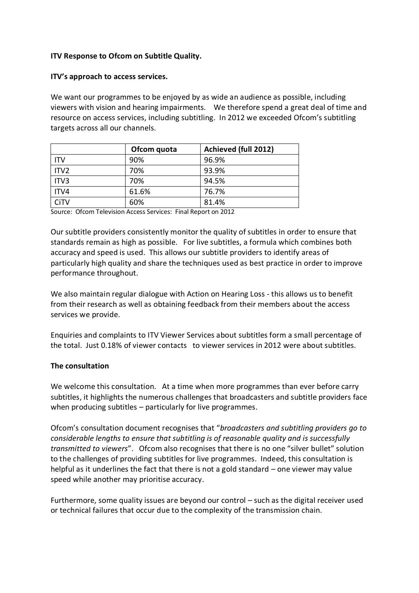#### **ITV Response to Ofcom on Subtitle Quality.**

#### **ITV's approach to access services.**

We want our programmes to be enjoyed by as wide an audience as possible, including viewers with vision and hearing impairments. We therefore spend a great deal of time and resource on access services, including subtitling. In 2012 we exceeded Ofcom's subtitling targets across all our channels.

|                  | Ofcom quota | Achieved (full 2012) |
|------------------|-------------|----------------------|
| ITV              | 90%         | 96.9%                |
| ITV <sub>2</sub> | 70%         | 93.9%                |
| ITV3             | 70%         | 94.5%                |
| ITV4             | 61.6%       | 76.7%                |
| CiTV             | 60%         | 81.4%                |

Source: Ofcom Television Access Services: Final Report on 2012

Our subtitle providers consistently monitor the quality of subtitles in order to ensure that standards remain as high as possible. For live subtitles, a formula which combines both accuracy and speed is used. This allows our subtitle providers to identify areas of particularly high quality and share the techniques used as best practice in order to improve performance throughout.

We also maintain regular dialogue with Action on Hearing Loss - this allows us to benefit from their research as well as obtaining feedback from their members about the access services we provide.

Enquiries and complaints to ITV Viewer Services about subtitles form a small percentage of the total. Just 0.18% of viewer contacts to viewer services in 2012 were about subtitles.

#### **The consultation**

We welcome this consultation. At a time when more programmes than ever before carry subtitles, it highlights the numerous challenges that broadcasters and subtitle providers face when producing subtitles – particularly for live programmes.

Ofcom's consultation document recognises that "*broadcasters and subtitling providers go to considerable lengths to ensure that subtitling is of reasonable quality and is successfully transmitted to viewers*". Ofcom also recognises that there is no one "silver bullet" solution to the challenges of providing subtitles for live programmes. Indeed, this consultation is helpful as it underlines the fact that there is not a gold standard – one viewer may value speed while another may prioritise accuracy.

Furthermore, some quality issues are beyond our control – such as the digital receiver used or technical failures that occur due to the complexity of the transmission chain.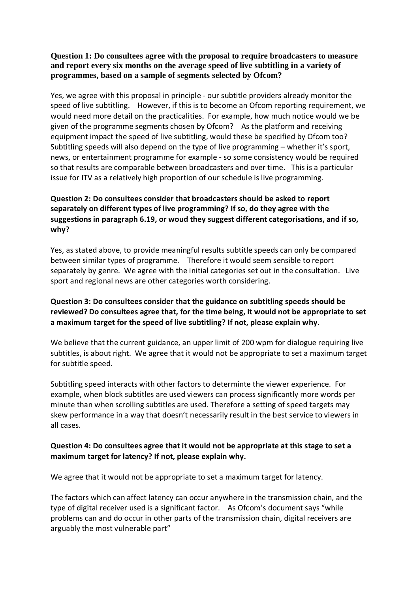#### **Question 1: Do consultees agree with the proposal to require broadcasters to measure and report every six months on the average speed of live subtitling in a variety of programmes, based on a sample of segments selected by Ofcom?**

Yes, we agree with this proposal in principle - our subtitle providers already monitor the speed of live subtitling. However, if this is to become an Ofcom reporting requirement, we would need more detail on the practicalities. For example, how much notice would we be given of the programme segments chosen by Ofcom? As the platform and receiving equipment impact the speed of live subtitling, would these be specified by Ofcom too? Subtitling speeds will also depend on the type of live programming – whether it's sport, news, or entertainment programme for example - so some consistency would be required so that results are comparable between broadcasters and over time. This is a particular issue for ITV as a relatively high proportion of our schedule is live programming.

# **Question 2: Do consultees consider that broadcasters should be asked to report separately on different types of live programming? If so, do they agree with the suggestions in paragraph 6.19, or woud they suggest different categorisations, and if so, why?**

Yes, as stated above, to provide meaningful results subtitle speeds can only be compared between similar types of programme. Therefore it would seem sensible to report separately by genre. We agree with the initial categories set out in the consultation. Live sport and regional news are other categories worth considering.

## **Question 3: Do consultees consider that the guidance on subtitling speeds should be reviewed? Do consultees agree that, for the time being, it would not be appropriate to set a maximum target for the speed of live subtitling? If not, please explain why.**

We believe that the current guidance, an upper limit of 200 wpm for dialogue requiring live subtitles, is about right. We agree that it would not be appropriate to set a maximum target for subtitle speed.

Subtitling speed interacts with other factors to determinte the viewer experience. For example, when block subtitles are used viewers can process significantly more words per minute than when scrolling subtitles are used. Therefore a setting of speed targets may skew performance in a way that doesn't necessarily result in the best service to viewers in all cases.

### **Question 4: Do consultees agree that it would not be appropriate at this stage to set a maximum target for latency? If not, please explain why.**

We agree that it would not be appropriate to set a maximum target for latency.

The factors which can affect latency can occur anywhere in the transmission chain, and the type of digital receiver used is a significant factor. As Ofcom's document says "while problems can and do occur in other parts of the transmission chain, digital receivers are arguably the most vulnerable part"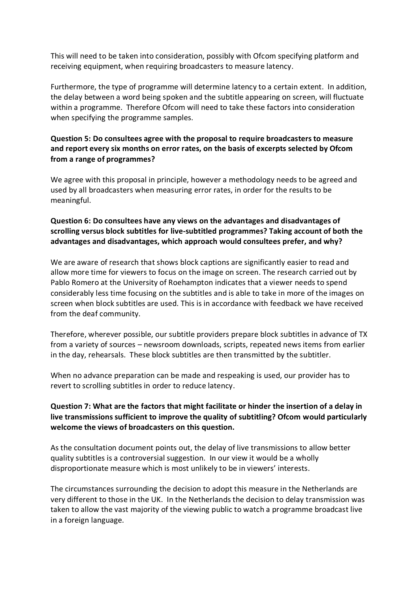This will need to be taken into consideration, possibly with Ofcom specifying platform and receiving equipment, when requiring broadcasters to measure latency.

Furthermore, the type of programme will determine latency to a certain extent. In addition, the delay between a word being spoken and the subtitle appearing on screen, will fluctuate within a programme. Therefore Ofcom will need to take these factors into consideration when specifying the programme samples.

## **Question 5: Do consultees agree with the proposal to require broadcasters to measure and report every six months on error rates, on the basis of excerpts selected by Ofcom from a range of programmes?**

We agree with this proposal in principle, however a methodology needs to be agreed and used by all broadcasters when measuring error rates, in order for the results to be meaningful.

## **Question 6: Do consultees have any views on the advantages and disadvantages of scrolling versus block subtitles for live-subtitled programmes? Taking account of both the advantages and disadvantages, which approach would consultees prefer, and why?**

We are aware of research that shows block captions are significantly easier to read and allow more time for viewers to focus on the image on screen. The research carried out by Pablo Romero at the University of Roehampton indicates that a viewer needs to spend considerably less time focusing on the subtitles and is able to take in more of the images on screen when block subtitles are used. This is in accordance with feedback we have received from the deaf community.

Therefore, wherever possible, our subtitle providers prepare block subtitles in advance of TX from a variety of sources – newsroom downloads, scripts, repeated news items from earlier in the day, rehearsals. These block subtitles are then transmitted by the subtitler.

When no advance preparation can be made and respeaking is used, our provider has to revert to scrolling subtitles in order to reduce latency.

## **Question 7: What are the factors that might facilitate or hinder the insertion of a delay in live transmissions sufficient to improve the quality of subtitling? Ofcom would particularly welcome the views of broadcasters on this question.**

As the consultation document points out, the delay of live transmissions to allow better quality subtitles is a controversial suggestion. In our view it would be a wholly disproportionate measure which is most unlikely to be in viewers' interests.

The circumstances surrounding the decision to adopt this measure in the Netherlands are very different to those in the UK. In the Netherlands the decision to delay transmission was taken to allow the vast majority of the viewing public to watch a programme broadcast live in a foreign language.